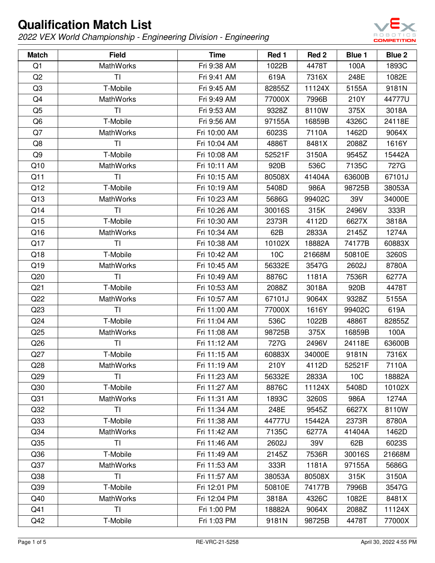

| <b>Match</b>    | <b>Field</b>     | <b>Time</b>  | Red 1  | Red 2  | Blue 1          | Blue 2 |
|-----------------|------------------|--------------|--------|--------|-----------------|--------|
| Q1              | <b>MathWorks</b> | Fri 9:38 AM  | 1022B  | 4478T  | 100A            | 1893C  |
| Q <sub>2</sub>  | TI.              | Fri 9:41 AM  | 619A   | 7316X  | 248E            | 1082E  |
| Q <sub>3</sub>  | T-Mobile         | Fri 9:45 AM  | 82855Z | 11124X | 5155A           | 9181N  |
| Q4              | <b>MathWorks</b> | Fri 9:49 AM  | 77000X | 7996B  | 210Y            | 44777U |
| Q <sub>5</sub>  | <b>TI</b>        | Fri 9:53 AM  | 9328Z  | 8110W  | 375X            | 3018A  |
| Q <sub>6</sub>  | T-Mobile         | Fri 9:56 AM  | 97155A | 16859B | 4326C           | 24118E |
| Q7              | <b>MathWorks</b> | Fri 10:00 AM | 6023S  | 7110A  | 1462D           | 9064X  |
| Q8              | TI               | Fri 10:04 AM | 4886T  | 8481X  | 2088Z           | 1616Y  |
| Q <sub>9</sub>  | T-Mobile         | Fri 10:08 AM | 52521F | 3150A  | 9545Z           | 15442A |
| Q10             | <b>MathWorks</b> | Fri 10:11 AM | 920B   | 536C   | 7135C           | 727G   |
| Q11             | <b>TI</b>        | Fri 10:15 AM | 80508X | 41404A | 63600B          | 67101J |
| Q12             | T-Mobile         | Fri 10:19 AM | 5408D  | 986A   | 98725B          | 38053A |
| Q13             | <b>MathWorks</b> | Fri 10:23 AM | 5686G  | 99402C | 39V             | 34000E |
| Q14             | TI               | Fri 10:26 AM | 30016S | 315K   | 2496V           | 333R   |
| Q15             | T-Mobile         | Fri 10:30 AM | 2373R  | 4112D  | 6627X           | 3818A  |
| Q16             | <b>MathWorks</b> | Fri 10:34 AM | 62B    | 2833A  | 2145Z           | 1274A  |
| Q17             | TI               | Fri 10:38 AM | 10102X | 18882A | 74177B          | 60883X |
| Q18             | T-Mobile         | Fri 10:42 AM | 10C    | 21668M | 50810E          | 3260S  |
| Q19             | <b>MathWorks</b> | Fri 10:45 AM | 56332E | 3547G  | 2602J           | 8780A  |
| Q20             | <b>TI</b>        | Fri 10:49 AM | 8876C  | 1181A  | 7536R           | 6277A  |
| Q <sub>21</sub> | T-Mobile         | Fri 10:53 AM | 2088Z  | 3018A  | 920B            | 4478T  |
| Q22             | <b>MathWorks</b> | Fri 10:57 AM | 67101J | 9064X  | 9328Z           | 5155A  |
| Q <sub>23</sub> | <b>TI</b>        | Fri 11:00 AM | 77000X | 1616Y  | 99402C          | 619A   |
| Q <sub>24</sub> | T-Mobile         | Fri 11:04 AM | 536C   | 1022B  | 4886T           | 82855Z |
| Q25             | <b>MathWorks</b> | Fri 11:08 AM | 98725B | 375X   | 16859B          | 100A   |
| Q26             | TI               | Fri 11:12 AM | 727G   | 2496V  | 24118E          | 63600B |
| Q27             | T-Mobile         | Fri 11:15 AM | 60883X | 34000E | 9181N           | 7316X  |
| Q <sub>28</sub> | MathWorks        | Fri 11:19 AM | 210Y   | 4112D  | 52521F          | 7110A  |
| Q29             | ΤI               | Fri 11:23 AM | 56332E | 2833A  | 10 <sub>C</sub> | 18882A |
| Q30             | T-Mobile         | Fri 11:27 AM | 8876C  | 11124X | 5408D           | 10102X |
| Q <sub>31</sub> | <b>MathWorks</b> | Fri 11:31 AM | 1893C  | 3260S  | 986A            | 1274A  |
| Q <sub>32</sub> | <b>TI</b>        | Fri 11:34 AM | 248E   | 9545Z  | 6627X           | 8110W  |
| Q <sub>33</sub> | T-Mobile         | Fri 11:38 AM | 44777U | 15442A | 2373R           | 8780A  |
| Q <sub>34</sub> | <b>MathWorks</b> | Fri 11:42 AM | 7135C  | 6277A  | 41404A          | 1462D  |
| Q <sub>35</sub> | T <sub>1</sub>   | Fri 11:46 AM | 2602J  | 39V    | 62B             | 6023S  |
| Q36             | T-Mobile         | Fri 11:49 AM | 2145Z  | 7536R  | 30016S          | 21668M |
| Q <sub>37</sub> | <b>MathWorks</b> | Fri 11:53 AM | 333R   | 1181A  | 97155A          | 5686G  |
| Q <sub>38</sub> | <b>TI</b>        | Fri 11:57 AM | 38053A | 80508X | 315K            | 3150A  |
| Q39             | T-Mobile         | Fri 12:01 PM | 50810E | 74177B | 7996B           | 3547G  |
| Q40             | <b>MathWorks</b> | Fri 12:04 PM | 3818A  | 4326C  | 1082E           | 8481X  |
| Q41             | TI               | Fri 1:00 PM  | 18882A | 9064X  | 2088Z           | 11124X |
| Q42             | T-Mobile         | Fri 1:03 PM  | 9181N  | 98725B | 4478T           | 77000X |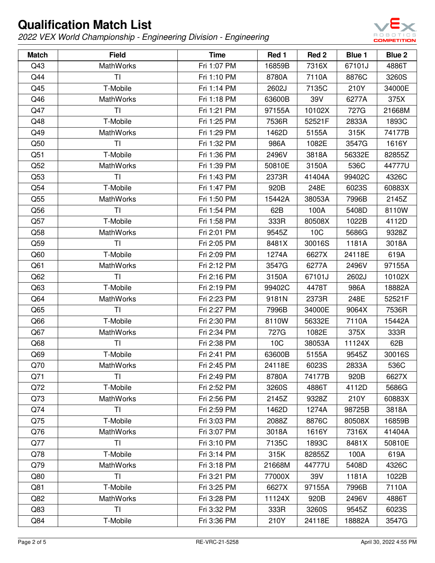

| <b>Match</b>    | <b>Field</b>     | <b>Time</b> | Red 1  | Red 2  | Blue 1 | Blue 2 |
|-----------------|------------------|-------------|--------|--------|--------|--------|
| Q43             | <b>MathWorks</b> | Fri 1:07 PM | 16859B | 7316X  | 67101J | 4886T  |
| Q44             | TI.              | Fri 1:10 PM | 8780A  | 7110A  | 8876C  | 3260S  |
| Q45             | T-Mobile         | Fri 1:14 PM | 2602J  | 7135C  | 210Y   | 34000E |
| Q46             | <b>MathWorks</b> | Fri 1:18 PM | 63600B | 39V    | 6277A  | 375X   |
| Q47             | <b>TI</b>        | Fri 1:21 PM | 97155A | 10102X | 727G   | 21668M |
| Q48             | T-Mobile         | Fri 1:25 PM | 7536R  | 52521F | 2833A  | 1893C  |
| Q49             | <b>MathWorks</b> | Fri 1:29 PM | 1462D  | 5155A  | 315K   | 74177B |
| Q50             | TI               | Fri 1:32 PM | 986A   | 1082E  | 3547G  | 1616Y  |
| Q51             | T-Mobile         | Fri 1:36 PM | 2496V  | 3818A  | 56332E | 82855Z |
| Q52             | <b>MathWorks</b> | Fri 1:39 PM | 50810E | 3150A  | 536C   | 44777U |
| Q53             | ΤI               | Fri 1:43 PM | 2373R  | 41404A | 99402C | 4326C  |
| Q54             | T-Mobile         | Fri 1:47 PM | 920B   | 248E   | 6023S  | 60883X |
| Q <sub>55</sub> | <b>MathWorks</b> | Fri 1:50 PM | 15442A | 38053A | 7996B  | 2145Z  |
| Q56             | <b>TI</b>        | Fri 1:54 PM | 62B    | 100A   | 5408D  | 8110W  |
| Q57             | T-Mobile         | Fri 1:58 PM | 333R   | 80508X | 1022B  | 4112D  |
| Q58             | <b>MathWorks</b> | Fri 2:01 PM | 9545Z  | 10C    | 5686G  | 9328Z  |
| Q59             | TI               | Fri 2:05 PM | 8481X  | 30016S | 1181A  | 3018A  |
| Q60             | T-Mobile         | Fri 2:09 PM | 1274A  | 6627X  | 24118E | 619A   |
| Q61             | <b>MathWorks</b> | Fri 2:12 PM | 3547G  | 6277A  | 2496V  | 97155A |
| Q62             | <b>TI</b>        | Fri 2:16 PM | 3150A  | 67101J | 2602J  | 10102X |
| Q63             | T-Mobile         | Fri 2:19 PM | 99402C | 4478T  | 986A   | 18882A |
| Q64             | <b>MathWorks</b> | Fri 2:23 PM | 9181N  | 2373R  | 248E   | 52521F |
| Q65             | <b>TI</b>        | Fri 2:27 PM | 7996B  | 34000E | 9064X  | 7536R  |
| Q66             | T-Mobile         | Fri 2:30 PM | 8110W  | 56332E | 7110A  | 15442A |
| Q67             | <b>MathWorks</b> | Fri 2:34 PM | 727G   | 1082E  | 375X   | 333R   |
| Q68             | TI               | Fri 2:38 PM | 10C    | 38053A | 11124X | 62B    |
| Q69             | T-Mobile         | Fri 2:41 PM | 63600B | 5155A  | 9545Z  | 30016S |
| Q70             | <b>MathWorks</b> | Fri 2:45 PM | 24118E | 6023S  | 2833A  | 536C   |
| Q71             | ΤI               | Fri 2:49 PM | 8780A  | 74177B | 920B   | 6627X  |
| Q72             | T-Mobile         | Fri 2:52 PM | 3260S  | 4886T  | 4112D  | 5686G  |
| Q73             | <b>MathWorks</b> | Fri 2:56 PM | 2145Z  | 9328Z  | 210Y   | 60883X |
| Q74             | <b>TI</b>        | Fri 2:59 PM | 1462D  | 1274A  | 98725B | 3818A  |
| Q75             | T-Mobile         | Fri 3:03 PM | 2088Z  | 8876C  | 80508X | 16859B |
| Q76             | <b>MathWorks</b> | Fri 3:07 PM | 3018A  | 1616Y  | 7316X  | 41404A |
| Q77             | <b>TI</b>        | Fri 3:10 PM | 7135C  | 1893C  | 8481X  | 50810E |
| Q78             | T-Mobile         | Fri 3:14 PM | 315K   | 82855Z | 100A   | 619A   |
| Q79             | <b>MathWorks</b> | Fri 3:18 PM | 21668M | 44777U | 5408D  | 4326C  |
| Q80             | ΤI               | Fri 3:21 PM | 77000X | 39V    | 1181A  | 1022B  |
| Q81             | T-Mobile         | Fri 3:25 PM | 6627X  | 97155A | 7996B  | 7110A  |
| Q82             | <b>MathWorks</b> | Fri 3:28 PM | 11124X | 920B   | 2496V  | 4886T  |
| Q83             | ΤI               | Fri 3:32 PM | 333R   | 3260S  | 9545Z  | 6023S  |
| Q84             | T-Mobile         | Fri 3:36 PM | 210Y   | 24118E | 18882A | 3547G  |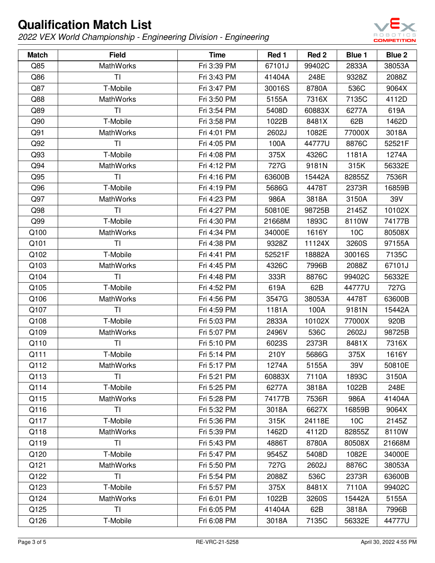

| <b>Match</b> | <b>Field</b>     | <b>Time</b> | Red 1  | Red <sub>2</sub> | Blue 1 | Blue 2 |
|--------------|------------------|-------------|--------|------------------|--------|--------|
| Q85          | <b>MathWorks</b> | Fri 3:39 PM | 67101J | 99402C           | 2833A  | 38053A |
| Q86          | TI               | Fri 3:43 PM | 41404A | 248E             | 9328Z  | 2088Z  |
| Q87          | T-Mobile         | Fri 3:47 PM | 30016S | 8780A            | 536C   | 9064X  |
| Q88          | <b>MathWorks</b> | Fri 3:50 PM | 5155A  | 7316X            | 7135C  | 4112D  |
| Q89          | TI               | Fri 3:54 PM | 5408D  | 60883X           | 6277A  | 619A   |
| Q90          | T-Mobile         | Fri 3:58 PM | 1022B  | 8481X            | 62B    | 1462D  |
| Q91          | <b>MathWorks</b> | Fri 4:01 PM | 2602J  | 1082E            | 77000X | 3018A  |
| Q92          | TI               | Fri 4:05 PM | 100A   | 44777U           | 8876C  | 52521F |
| Q93          | T-Mobile         | Fri 4:08 PM | 375X   | 4326C            | 1181A  | 1274A  |
| Q94          | <b>MathWorks</b> | Fri 4:12 PM | 727G   | 9181N            | 315K   | 56332E |
| Q95          | TI               | Fri 4:16 PM | 63600B | 15442A           | 82855Z | 7536R  |
| Q96          | T-Mobile         | Fri 4:19 PM | 5686G  | 4478T            | 2373R  | 16859B |
| Q97          | <b>MathWorks</b> | Fri 4:23 PM | 986A   | 3818A            | 3150A  | 39V    |
| Q98          | <b>TI</b>        | Fri 4:27 PM | 50810E | 98725B           | 2145Z  | 10102X |
| Q99          | T-Mobile         | Fri 4:30 PM | 21668M | 1893C            | 8110W  | 74177B |
| Q100         | <b>MathWorks</b> | Fri 4:34 PM | 34000E | 1616Y            | 10C    | 80508X |
| Q101         | TI               | Fri 4:38 PM | 9328Z  | 11124X           | 3260S  | 97155A |
| Q102         | T-Mobile         | Fri 4:41 PM | 52521F | 18882A           | 30016S | 7135C  |
| Q103         | <b>MathWorks</b> | Fri 4:45 PM | 4326C  | 7996B            | 2088Z  | 67101J |
| Q104         | TI               | Fri 4:48 PM | 333R   | 8876C            | 99402C | 56332E |
| Q105         | T-Mobile         | Fri 4:52 PM | 619A   | 62B              | 44777U | 727G   |
| Q106         | <b>MathWorks</b> | Fri 4:56 PM | 3547G  | 38053A           | 4478T  | 63600B |
| Q107         | <b>TI</b>        | Fri 4:59 PM | 1181A  | 100A             | 9181N  | 15442A |
| Q108         | T-Mobile         | Fri 5:03 PM | 2833A  | 10102X           | 77000X | 920B   |
| Q109         | <b>MathWorks</b> | Fri 5:07 PM | 2496V  | 536C             | 2602J  | 98725B |
| Q110         | TI               | Fri 5:10 PM | 6023S  | 2373R            | 8481X  | 7316X  |
| Q111         | T-Mobile         | Fri 5:14 PM | 210Y   | 5686G            | 375X   | 1616Y  |
| Q112         | MathWorks        | Fri 5:17 PM | 1274A  | 5155A            | 39V    | 50810E |
| Q113         | ΤI               | Fri 5:21 PM | 60883X | 7110A            | 1893C  | 3150A  |
| Q114         | T-Mobile         | Fri 5:25 PM | 6277A  | 3818A            | 1022B  | 248E   |
| Q115         | <b>MathWorks</b> | Fri 5:28 PM | 74177B | 7536R            | 986A   | 41404A |
| Q116         | <b>TI</b>        | Fri 5:32 PM | 3018A  | 6627X            | 16859B | 9064X  |
| Q117         | T-Mobile         | Fri 5:36 PM | 315K   | 24118E           | 10C    | 2145Z  |
| Q118         | <b>MathWorks</b> | Fri 5:39 PM | 1462D  | 4112D            | 82855Z | 8110W  |
| Q119         | <b>TI</b>        | Fri 5:43 PM | 4886T  | 8780A            | 80508X | 21668M |
| Q120         | T-Mobile         | Fri 5:47 PM | 9545Z  | 5408D            | 1082E  | 34000E |
| Q121         | <b>MathWorks</b> | Fri 5:50 PM | 727G   | 2602J            | 8876C  | 38053A |
| Q122         | ΤI               | Fri 5:54 PM | 2088Z  | 536C             | 2373R  | 63600B |
| Q123         | T-Mobile         | Fri 5:57 PM | 375X   | 8481X            | 7110A  | 99402C |
| Q124         | <b>MathWorks</b> | Fri 6:01 PM | 1022B  | 3260S            | 15442A | 5155A  |
| Q125         | TI               | Fri 6:05 PM | 41404A | 62B              | 3818A  | 7996B  |
| Q126         | T-Mobile         | Fri 6:08 PM | 3018A  | 7135C            | 56332E | 44777U |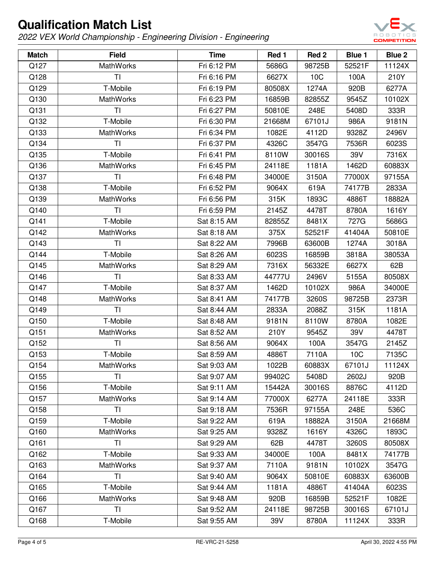

| <b>Match</b> | <b>Field</b>     | <b>Time</b> | Red 1  | Red 2  | Blue 1 | Blue 2 |
|--------------|------------------|-------------|--------|--------|--------|--------|
| Q127         | <b>MathWorks</b> | Fri 6:12 PM | 5686G  | 98725B | 52521F | 11124X |
| Q128         | <b>TI</b>        | Fri 6:16 PM | 6627X  | 10C    | 100A   | 210Y   |
| Q129         | T-Mobile         | Fri 6:19 PM | 80508X | 1274A  | 920B   | 6277A  |
| Q130         | <b>MathWorks</b> | Fri 6:23 PM | 16859B | 82855Z | 9545Z  | 10102X |
| Q131         | <b>TI</b>        | Fri 6:27 PM | 50810E | 248E   | 5408D  | 333R   |
| Q132         | T-Mobile         | Fri 6:30 PM | 21668M | 67101J | 986A   | 9181N  |
| Q133         | <b>MathWorks</b> | Fri 6:34 PM | 1082E  | 4112D  | 9328Z  | 2496V  |
| Q134         | TI               | Fri 6:37 PM | 4326C  | 3547G  | 7536R  | 6023S  |
| Q135         | T-Mobile         | Fri 6:41 PM | 8110W  | 30016S | 39V    | 7316X  |
| Q136         | <b>MathWorks</b> | Fri 6:45 PM | 24118E | 1181A  | 1462D  | 60883X |
| Q137         | TI               | Fri 6:48 PM | 34000E | 3150A  | 77000X | 97155A |
| Q138         | T-Mobile         | Fri 6:52 PM | 9064X  | 619A   | 74177B | 2833A  |
| Q139         | <b>MathWorks</b> | Fri 6:56 PM | 315K   | 1893C  | 4886T  | 18882A |
| Q140         | TI               | Fri 6:59 PM | 2145Z  | 4478T  | 8780A  | 1616Y  |
| Q141         | T-Mobile         | Sat 8:15 AM | 82855Z | 8481X  | 727G   | 5686G  |
| Q142         | <b>MathWorks</b> | Sat 8:18 AM | 375X   | 52521F | 41404A | 50810E |
| Q143         | TI               | Sat 8:22 AM | 7996B  | 63600B | 1274A  | 3018A  |
| Q144         | T-Mobile         | Sat 8:26 AM | 6023S  | 16859B | 3818A  | 38053A |
| Q145         | <b>MathWorks</b> | Sat 8:29 AM | 7316X  | 56332E | 6627X  | 62B    |
| Q146         | <b>TI</b>        | Sat 8:33 AM | 44777U | 2496V  | 5155A  | 80508X |
| Q147         | T-Mobile         | Sat 8:37 AM | 1462D  | 10102X | 986A   | 34000E |
| Q148         | MathWorks        | Sat 8:41 AM | 74177B | 3260S  | 98725B | 2373R  |
| Q149         | <b>TI</b>        | Sat 8:44 AM | 2833A  | 2088Z  | 315K   | 1181A  |
| Q150         | T-Mobile         | Sat 8:48 AM | 9181N  | 8110W  | 8780A  | 1082E  |
| Q151         | <b>MathWorks</b> | Sat 8:52 AM | 210Y   | 9545Z  | 39V    | 4478T  |
| Q152         | TI               | Sat 8:56 AM | 9064X  | 100A   | 3547G  | 2145Z  |
| Q153         | T-Mobile         | Sat 8:59 AM | 4886T  | 7110A  | 10C    | 7135C  |
| Q154         | MathWorks        | Sat 9:03 AM | 1022B  | 60883X | 67101J | 11124X |
| Q155         | ΤI               | Sat 9:07 AM | 99402C | 5408D  | 2602J  | 920B   |
| Q156         | T-Mobile         | Sat 9:11 AM | 15442A | 30016S | 8876C  | 4112D  |
| Q157         | <b>MathWorks</b> | Sat 9:14 AM | 77000X | 6277A  | 24118E | 333R   |
| Q158         | <b>TI</b>        | Sat 9:18 AM | 7536R  | 97155A | 248E   | 536C   |
| Q159         | T-Mobile         | Sat 9:22 AM | 619A   | 18882A | 3150A  | 21668M |
| Q160         | <b>MathWorks</b> | Sat 9:25 AM | 9328Z  | 1616Y  | 4326C  | 1893C  |
| Q161         | <b>TI</b>        | Sat 9:29 AM | 62B    | 4478T  | 3260S  | 80508X |
| Q162         | T-Mobile         | Sat 9:33 AM | 34000E | 100A   | 8481X  | 74177B |
| Q163         | MathWorks        | Sat 9:37 AM | 7110A  | 9181N  | 10102X | 3547G  |
| Q164         | TI.              | Sat 9:40 AM | 9064X  | 50810E | 60883X | 63600B |
| Q165         | T-Mobile         | Sat 9:44 AM | 1181A  | 4886T  | 41404A | 6023S  |
| Q166         | <b>MathWorks</b> | Sat 9:48 AM | 920B   | 16859B | 52521F | 1082E  |
| Q167         | TI               | Sat 9:52 AM | 24118E | 98725B | 30016S | 67101J |
| Q168         | T-Mobile         | Sat 9:55 AM | 39V    | 8780A  | 11124X | 333R   |